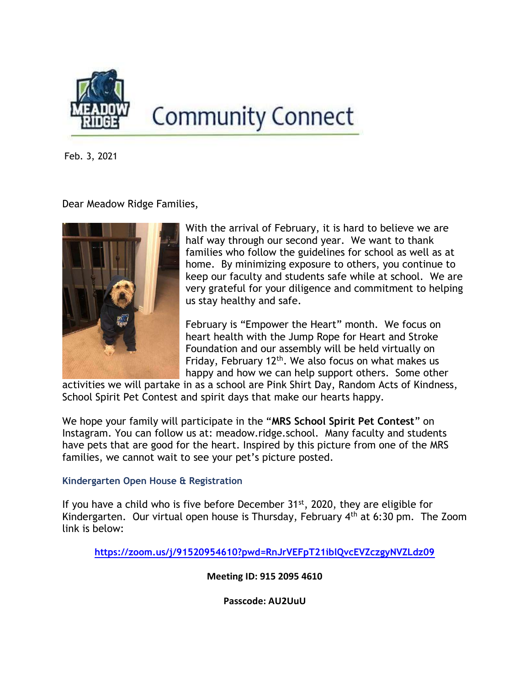

# **Community Connect**

Feb. 3, 2021

Dear Meadow Ridge Families,



With the arrival of February, it is hard to believe we are half way through our second year. We want to thank families who follow the guidelines for school as well as at home. By minimizing exposure to others, you continue to keep our faculty and students safe while at school. We are very grateful for your diligence and commitment to helping us stay healthy and safe.

February is "Empower the Heart" month. We focus on heart health with the Jump Rope for Heart and Stroke Foundation and our assembly will be held virtually on Friday, February  $12<sup>th</sup>$ . We also focus on what makes us happy and how we can help support others. Some other

activities we will partake in as a school are Pink Shirt Day, Random Acts of Kindness, School Spirit Pet Contest and spirit days that make our hearts happy.

We hope your family will participate in the "MRS School Spirit Pet Contest" on Instagram. You can follow us at: meadow.ridge.school. Many faculty and students have pets that are good for the heart. Inspired by this picture from one of the MRS families, we cannot wait to see your pet's picture posted.

## Kindergarten Open House & Registration

If you have a child who is five before December  $31<sup>st</sup>$ , 2020, they are eligible for Kindergarten. Our virtual open house is Thursday, February 4th at 6:30 pm. The Zoom link is below:

https://zoom.us/j/91520954610?pwd=RnJrVEFpT21iblQvcEVZczgyNVZLdz09

Meeting ID: 915 2095 4610

Passcode: AU2UuU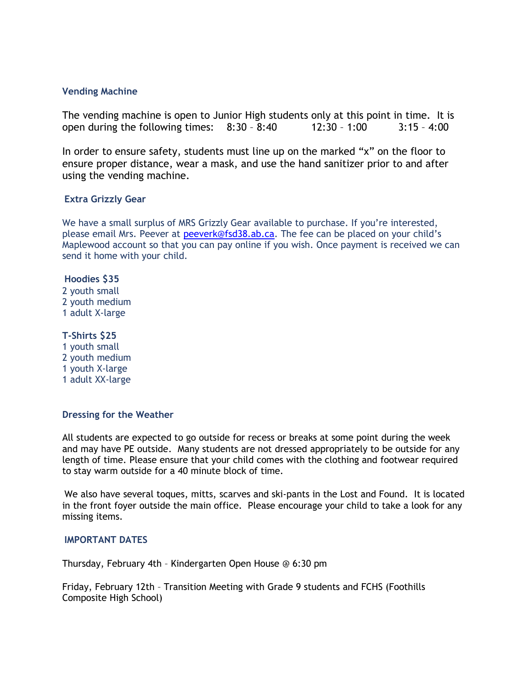#### Vending Machine

The vending machine is open to Junior High students only at this point in time. It is open during the following times: 8:30 – 8:40 12:30 – 1:00 3:15 – 4:00

In order to ensure safety, students must line up on the marked "x" on the floor to ensure proper distance, wear a mask, and use the hand sanitizer prior to and after using the vending machine.

### Extra Grizzly Gear

We have a small surplus of MRS Grizzly Gear available to purchase. If you're interested, please email Mrs. Peever at peeverk@fsd38.ab.ca. The fee can be placed on your child's Maplewood account so that you can pay online if you wish. Once payment is received we can send it home with your child.

## Hoodies \$35

2 youth small 2 youth medium 1 adult X-large

## T-Shirts \$25

1 youth small 2 youth medium 1 youth X-large 1 adult XX-large

#### Dressing for the Weather

All students are expected to go outside for recess or breaks at some point during the week and may have PE outside. Many students are not dressed appropriately to be outside for any length of time. Please ensure that your child comes with the clothing and footwear required to stay warm outside for a 40 minute block of time.

We also have several toques, mitts, scarves and ski-pants in the Lost and Found. It is located in the front foyer outside the main office. Please encourage your child to take a look for any missing items.

#### IMPORTANT DATES

Thursday, February 4th – Kindergarten Open House @ 6:30 pm

Friday, February 12th – Transition Meeting with Grade 9 students and FCHS (Foothills Composite High School)